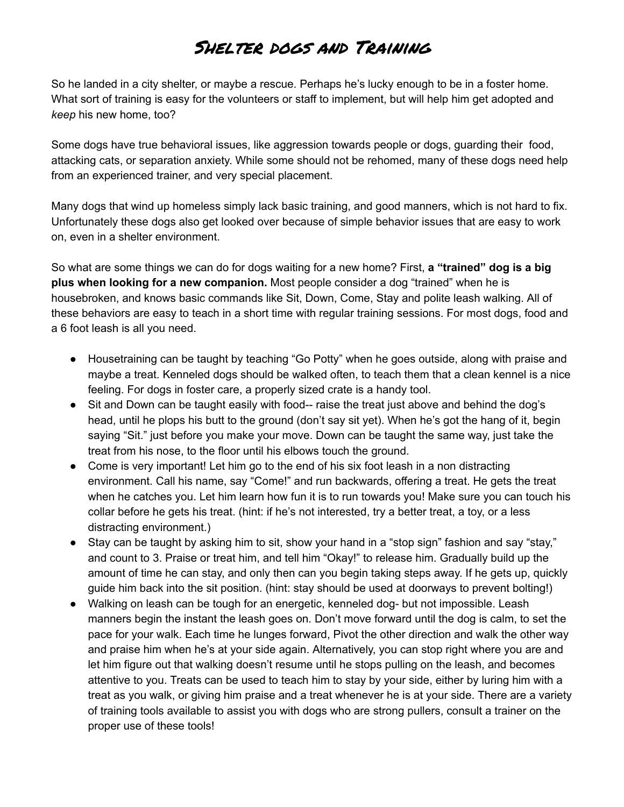## Shelter dogs and Training

So he landed in a city shelter, or maybe a rescue. Perhaps he's lucky enough to be in a foster home. What sort of training is easy for the volunteers or staff to implement, but will help him get adopted and *keep* his new home, too?

Some dogs have true behavioral issues, like aggression towards people or dogs, guarding their food, attacking cats, or separation anxiety. While some should not be rehomed, many of these dogs need help from an experienced trainer, and very special placement.

Many dogs that wind up homeless simply lack basic training, and good manners, which is not hard to fix. Unfortunately these dogs also get looked over because of simple behavior issues that are easy to work on, even in a shelter environment.

So what are some things we can do for dogs waiting for a new home? First, **a "trained" dog is a big plus when looking for a new companion.** Most people consider a dog "trained" when he is housebroken, and knows basic commands like Sit, Down, Come, Stay and polite leash walking. All of these behaviors are easy to teach in a short time with regular training sessions. For most dogs, food and a 6 foot leash is all you need.

- Housetraining can be taught by teaching "Go Potty" when he goes outside, along with praise and maybe a treat. Kenneled dogs should be walked often, to teach them that a clean kennel is a nice feeling. For dogs in foster care, a properly sized crate is a handy tool.
- Sit and Down can be taught easily with food-- raise the treat just above and behind the dog's head, until he plops his butt to the ground (don't say sit yet). When he's got the hang of it, begin saying "Sit." just before you make your move. Down can be taught the same way, just take the treat from his nose, to the floor until his elbows touch the ground.
- Come is very important! Let him go to the end of his six foot leash in a non distracting environment. Call his name, say "Come!" and run backwards, offering a treat. He gets the treat when he catches you. Let him learn how fun it is to run towards you! Make sure you can touch his collar before he gets his treat. (hint: if he's not interested, try a better treat, a toy, or a less distracting environment.)
- Stay can be taught by asking him to sit, show your hand in a "stop sign" fashion and say "stay," and count to 3. Praise or treat him, and tell him "Okay!" to release him. Gradually build up the amount of time he can stay, and only then can you begin taking steps away. If he gets up, quickly guide him back into the sit position. (hint: stay should be used at doorways to prevent bolting!)
- Walking on leash can be tough for an energetic, kenneled dog- but not impossible. Leash manners begin the instant the leash goes on. Don't move forward until the dog is calm, to set the pace for your walk. Each time he lunges forward, Pivot the other direction and walk the other way and praise him when he's at your side again. Alternatively, you can stop right where you are and let him figure out that walking doesn't resume until he stops pulling on the leash, and becomes attentive to you. Treats can be used to teach him to stay by your side, either by luring him with a treat as you walk, or giving him praise and a treat whenever he is at your side. There are a variety of training tools available to assist you with dogs who are strong pullers, consult a trainer on the proper use of these tools!